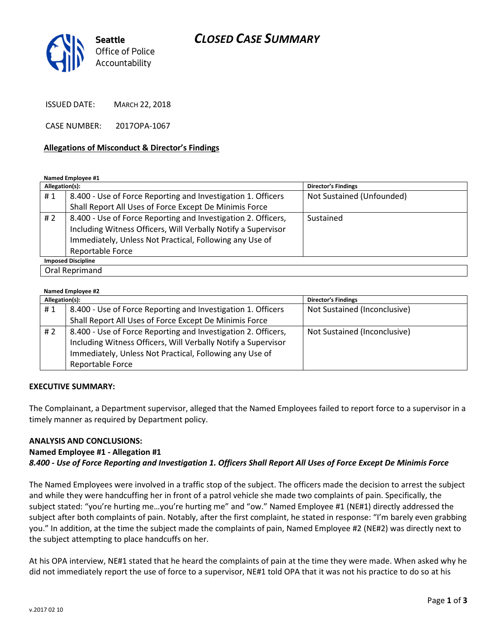## CLOSED CASE SUMMARY



ISSUED DATE: MARCH 22, 2018

CASE NUMBER: 2017OPA-1067

#### Allegations of Misconduct & Director's Findings

#### Named Employee #1

| Allegation(s):            |                                                               | <b>Director's Findings</b> |  |
|---------------------------|---------------------------------------------------------------|----------------------------|--|
| #1                        | 8.400 - Use of Force Reporting and Investigation 1. Officers  | Not Sustained (Unfounded)  |  |
|                           | Shall Report All Uses of Force Except De Minimis Force        |                            |  |
| #2                        | 8.400 - Use of Force Reporting and Investigation 2. Officers, | Sustained                  |  |
|                           | Including Witness Officers, Will Verbally Notify a Supervisor |                            |  |
|                           | Immediately, Unless Not Practical, Following any Use of       |                            |  |
|                           | <b>Reportable Force</b>                                       |                            |  |
| <b>Imposed Discipline</b> |                                                               |                            |  |
| Oral Reprimand            |                                                               |                            |  |

#### Named Employee #2

| Allegation(s): |                                                               | <b>Director's Findings</b>   |
|----------------|---------------------------------------------------------------|------------------------------|
| #1             | 8.400 - Use of Force Reporting and Investigation 1. Officers  | Not Sustained (Inconclusive) |
|                | Shall Report All Uses of Force Except De Minimis Force        |                              |
| #2             | 8.400 - Use of Force Reporting and Investigation 2. Officers, | Not Sustained (Inconclusive) |
|                | Including Witness Officers, Will Verbally Notify a Supervisor |                              |
|                | Immediately, Unless Not Practical, Following any Use of       |                              |
|                | Reportable Force                                              |                              |

#### EXECUTIVE SUMMARY:

The Complainant, a Department supervisor, alleged that the Named Employees failed to report force to a supervisor in a timely manner as required by Department policy.

#### ANALYSIS AND CONCLUSIONS:

## Named Employee #1 - Allegation #1 8.400 - Use of Force Reporting and Investigation 1. Officers Shall Report All Uses of Force Except De Minimis Force

The Named Employees were involved in a traffic stop of the subject. The officers made the decision to arrest the subject and while they were handcuffing her in front of a patrol vehicle she made two complaints of pain. Specifically, the subject stated: "you're hurting me…you're hurting me" and "ow." Named Employee #1 (NE#1) directly addressed the subject after both complaints of pain. Notably, after the first complaint, he stated in response: "I'm barely even grabbing you." In addition, at the time the subject made the complaints of pain, Named Employee #2 (NE#2) was directly next to the subject attempting to place handcuffs on her.

At his OPA interview, NE#1 stated that he heard the complaints of pain at the time they were made. When asked why he did not immediately report the use of force to a supervisor, NE#1 told OPA that it was not his practice to do so at his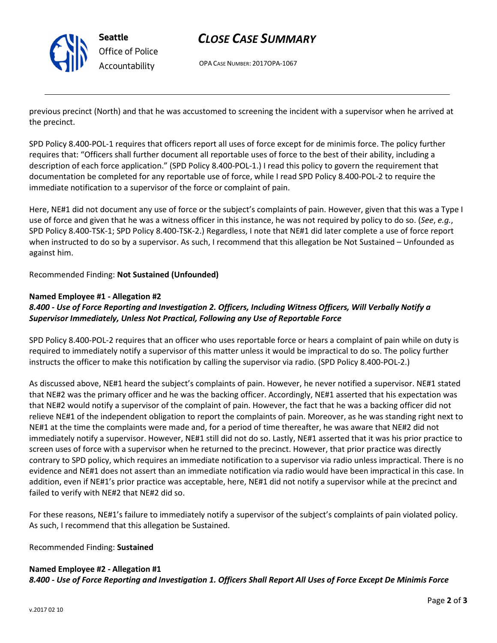

Seattle Office of Police Accountability

# CLOSE CASE SUMMARY

OPA CASE NUMBER: 2017OPA-1067

previous precinct (North) and that he was accustomed to screening the incident with a supervisor when he arrived at the precinct.

SPD Policy 8.400-POL-1 requires that officers report all uses of force except for de minimis force. The policy further requires that: "Officers shall further document all reportable uses of force to the best of their ability, including a description of each force application." (SPD Policy 8.400-POL-1.) I read this policy to govern the requirement that documentation be completed for any reportable use of force, while I read SPD Policy 8.400-POL-2 to require the immediate notification to a supervisor of the force or complaint of pain.

Here, NE#1 did not document any use of force or the subject's complaints of pain. However, given that this was a Type I use of force and given that he was a witness officer in this instance, he was not required by policy to do so. (See, e.g., SPD Policy 8.400-TSK-1; SPD Policy 8.400-TSK-2.) Regardless, I note that NE#1 did later complete a use of force report when instructed to do so by a supervisor. As such, I recommend that this allegation be Not Sustained – Unfounded as against him.

Recommended Finding: Not Sustained (Unfounded)

### Named Employee #1 - Allegation #2

## 8.400 - Use of Force Reporting and Investigation 2. Officers, Including Witness Officers, Will Verbally Notify a Supervisor Immediately, Unless Not Practical, Following any Use of Reportable Force

SPD Policy 8.400-POL-2 requires that an officer who uses reportable force or hears a complaint of pain while on duty is required to immediately notify a supervisor of this matter unless it would be impractical to do so. The policy further instructs the officer to make this notification by calling the supervisor via radio. (SPD Policy 8.400-POL-2.)

As discussed above, NE#1 heard the subject's complaints of pain. However, he never notified a supervisor. NE#1 stated that NE#2 was the primary officer and he was the backing officer. Accordingly, NE#1 asserted that his expectation was that NE#2 would notify a supervisor of the complaint of pain. However, the fact that he was a backing officer did not relieve NE#1 of the independent obligation to report the complaints of pain. Moreover, as he was standing right next to NE#1 at the time the complaints were made and, for a period of time thereafter, he was aware that NE#2 did not immediately notify a supervisor. However, NE#1 still did not do so. Lastly, NE#1 asserted that it was his prior practice to screen uses of force with a supervisor when he returned to the precinct. However, that prior practice was directly contrary to SPD policy, which requires an immediate notification to a supervisor via radio unless impractical. There is no evidence and NE#1 does not assert than an immediate notification via radio would have been impractical in this case. In addition, even if NE#1's prior practice was acceptable, here, NE#1 did not notify a supervisor while at the precinct and failed to verify with NE#2 that NE#2 did so.

For these reasons, NE#1's failure to immediately notify a supervisor of the subject's complaints of pain violated policy. As such, I recommend that this allegation be Sustained.

Recommended Finding: Sustained

### Named Employee #2 - Allegation #1

8.400 - Use of Force Reporting and Investigation 1. Officers Shall Report All Uses of Force Except De Minimis Force